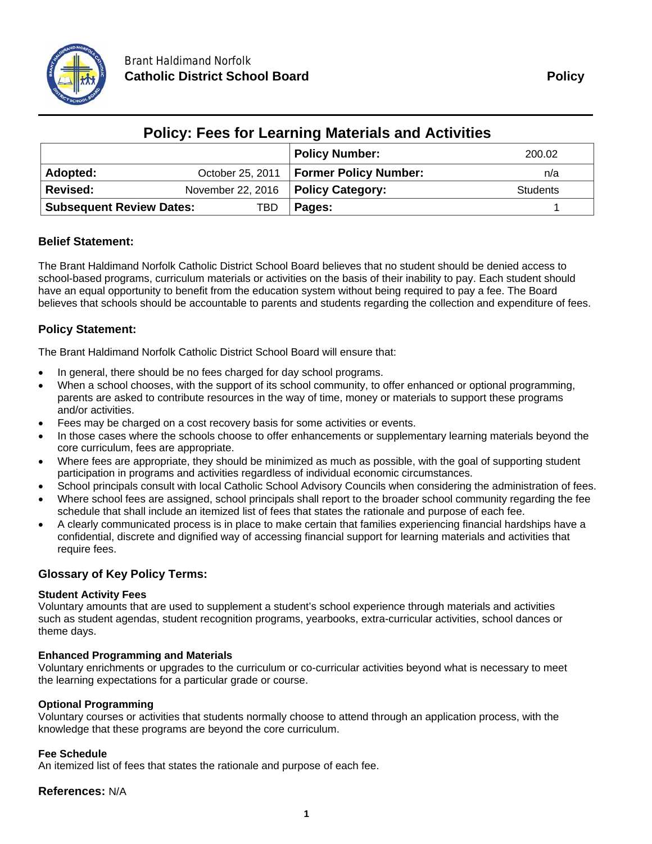

| <b>Policy: Fees for Learning Materials and Activities</b> |                                      |     |                                          |                 |  |
|-----------------------------------------------------------|--------------------------------------|-----|------------------------------------------|-----------------|--|
|                                                           |                                      |     | <b>Policy Number:</b>                    | 200.02          |  |
| Adopted:                                                  |                                      |     | October 25, 2011   Former Policy Number: | n/a             |  |
| Revised:                                                  | November 22, 2016   Policy Category: |     |                                          | <b>Students</b> |  |
| <b>Subsequent Review Dates:</b>                           |                                      | TBD | Pages:                                   |                 |  |

# **Policy: Fees for Learning Materials and Activities**

# **Belief Statement:**

The Brant Haldimand Norfolk Catholic District School Board believes that no student should be denied access to school-based programs, curriculum materials or activities on the basis of their inability to pay. Each student should have an equal opportunity to benefit from the education system without being required to pay a fee. The Board believes that schools should be accountable to parents and students regarding the collection and expenditure of fees.

# **Policy Statement:**

The Brant Haldimand Norfolk Catholic District School Board will ensure that:

- In general, there should be no fees charged for day school programs.
- When a school chooses, with the support of its school community, to offer enhanced or optional programming, parents are asked to contribute resources in the way of time, money or materials to support these programs and/or activities.
- Fees may be charged on a cost recovery basis for some activities or events.
- In those cases where the schools choose to offer enhancements or supplementary learning materials beyond the core curriculum, fees are appropriate.
- Where fees are appropriate, they should be minimized as much as possible, with the goal of supporting student participation in programs and activities regardless of individual economic circumstances.
- School principals consult with local Catholic School Advisory Councils when considering the administration of fees. Where school fees are assigned, school principals shall report to the broader school community regarding the fee
- schedule that shall include an itemized list of fees that states the rationale and purpose of each fee. A clearly communicated process is in place to make certain that families experiencing financial hardships have a confidential, discrete and dignified way of accessing financial support for learning materials and activities that require fees.

# **Glossary of Key Policy Terms:**

#### **Student Activity Fees**

Voluntary amounts that are used to supplement a student's school experience through materials and activities such as student agendas, student recognition programs, yearbooks, extra-curricular activities, school dances or theme days.

## **Enhanced Programming and Materials**

Voluntary enrichments or upgrades to the curriculum or co-curricular activities beyond what is necessary to meet the learning expectations for a particular grade or course.

#### **Optional Programming**

Voluntary courses or activities that students normally choose to attend through an application process, with the knowledge that these programs are beyond the core curriculum.

#### **Fee Schedule**

An itemized list of fees that states the rationale and purpose of each fee.

## **References:** N/A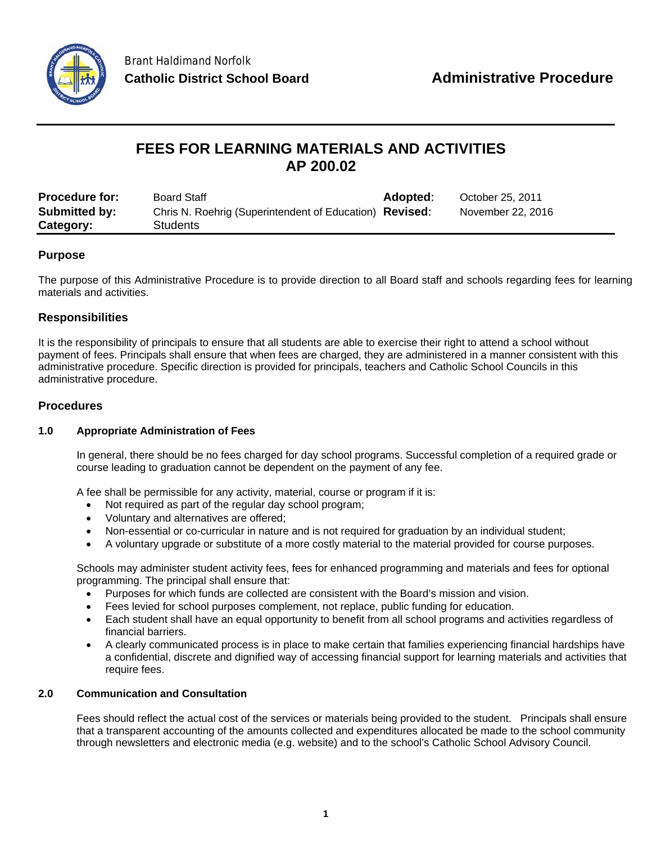

# **FEES FOR LEARNING MATERIALS AND ACTIVITIES AP 200.02**

| <b>Procedure for:</b> | <b>Board Staff</b>                                      | <b>Adopted:</b> | October 25, 2011  |
|-----------------------|---------------------------------------------------------|-----------------|-------------------|
| Submitted by:         | Chris N. Roehrig (Superintendent of Education) Revised: |                 | November 22, 2016 |
| Category:             | <b>Students</b>                                         |                 |                   |

# **Purpose**

The purpose of this Administrative Procedure is to provide direction to all Board staff and schools regarding fees for learning materials and activities.

# **Responsibilities**

It is the responsibility of principals to ensure that all students are able to exercise their right to attend a school without payment of fees. Principals shall ensure that when fees are charged, they are administered in a manner consistent with this administrative procedure. Specific direction is provided for principals, teachers and Catholic School Councils in this administrative procedure.

# **Procedures**

## **1.0 Appropriate Administration of Fees**

In general, there should be no fees charged for day school programs. Successful completion of a required grade or course leading to graduation cannot be dependent on the payment of any fee.

A fee shall be permissible for any activity, material, course or program if it is:

- Not required as part of the regular day school program;
- Voluntary and alternatives are offered;
- Non-essential or co-curricular in nature and is not required for graduation by an individual student;
- A voluntary upgrade or substitute of a more costly material to the material provided for course purposes.

Schools may administer student activity fees, fees for enhanced programming and materials and fees for optional programming. The principal shall ensure that:

- Purposes for which funds are collected are consistent with the Board's mission and vision.
- Fees levied for school purposes complement, not replace, public funding for education.
- Each student shall have an equal opportunity to benefit from all school programs and activities regardless of financial barriers.
- A clearly communicated process is in place to make certain that families experiencing financial hardships have a confidential, discrete and dignified way of accessing financial support for learning materials and activities that require fees.

#### **2.0 Communication and Consultation**

Fees should reflect the actual cost of the services or materials being provided to the student. Principals shall ensure that a transparent accounting of the amounts collected and expenditures allocated be made to the school community through newsletters and electronic media (e.g. website) and to the school's Catholic School Advisory Council.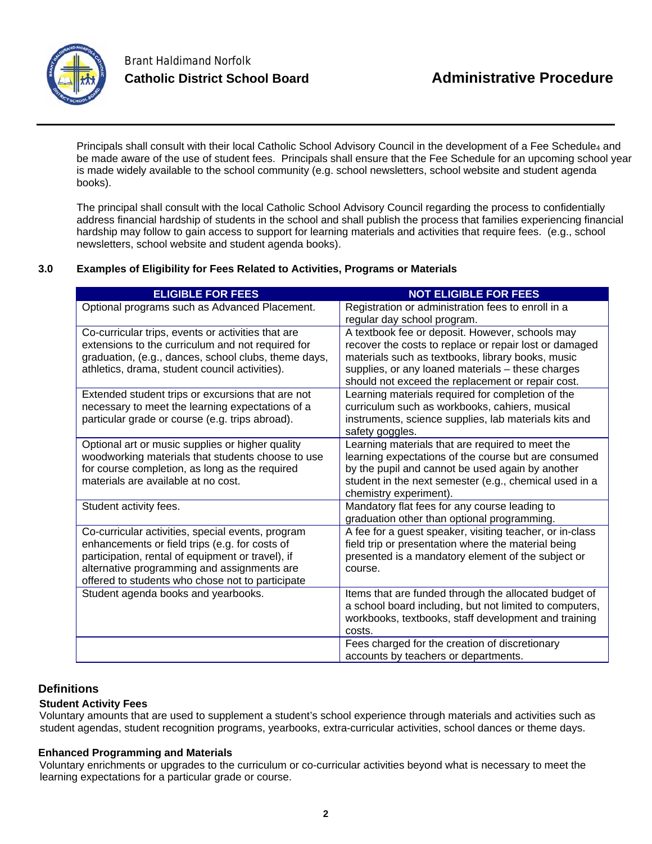

Principals shall consult with their local Catholic School Advisory Council in the development of a Fee Schedule<sub>4</sub> and be made aware of the use of student fees. Principals shall ensure that the Fee Schedule for an upcoming school year is made widely available to the school community (e.g. school newsletters, school website and student agenda books).

The principal shall consult with the local Catholic School Advisory Council regarding the process to confidentially address financial hardship of students in the school and shall publish the process that families experiencing financial hardship may follow to gain access to support for learning materials and activities that require fees. (e.g., school newsletters, school website and student agenda books).

## **3.0 Examples of Eligibility for Fees Related to Activities, Programs or Materials**

| <b>ELIGIBLE FOR FEES</b>                                                                                                                                                                                                                                    | <b>NOT ELIGIBLE FOR FEES</b>                                                                                                                                                                                                                                             |
|-------------------------------------------------------------------------------------------------------------------------------------------------------------------------------------------------------------------------------------------------------------|--------------------------------------------------------------------------------------------------------------------------------------------------------------------------------------------------------------------------------------------------------------------------|
| Optional programs such as Advanced Placement.                                                                                                                                                                                                               | Registration or administration fees to enroll in a<br>regular day school program.                                                                                                                                                                                        |
| Co-curricular trips, events or activities that are<br>extensions to the curriculum and not required for<br>graduation, (e.g., dances, school clubs, theme days,<br>athletics, drama, student council activities).                                           | A textbook fee or deposit. However, schools may<br>recover the costs to replace or repair lost or damaged<br>materials such as textbooks, library books, music<br>supplies, or any loaned materials - these charges<br>should not exceed the replacement or repair cost. |
| Extended student trips or excursions that are not<br>necessary to meet the learning expectations of a<br>particular grade or course (e.g. trips abroad).                                                                                                    | Learning materials required for completion of the<br>curriculum such as workbooks, cahiers, musical<br>instruments, science supplies, lab materials kits and<br>safety goggles.                                                                                          |
| Optional art or music supplies or higher quality<br>woodworking materials that students choose to use<br>for course completion, as long as the required<br>materials are available at no cost.                                                              | Learning materials that are required to meet the<br>learning expectations of the course but are consumed<br>by the pupil and cannot be used again by another<br>student in the next semester (e.g., chemical used in a<br>chemistry experiment).                         |
| Student activity fees.                                                                                                                                                                                                                                      | Mandatory flat fees for any course leading to<br>graduation other than optional programming.                                                                                                                                                                             |
| Co-curricular activities, special events, program<br>enhancements or field trips (e.g. for costs of<br>participation, rental of equipment or travel), if<br>alternative programming and assignments are<br>offered to students who chose not to participate | A fee for a guest speaker, visiting teacher, or in-class<br>field trip or presentation where the material being<br>presented is a mandatory element of the subject or<br>course.                                                                                         |
| Student agenda books and yearbooks.                                                                                                                                                                                                                         | Items that are funded through the allocated budget of<br>a school board including, but not limited to computers,<br>workbooks, textbooks, staff development and training<br>costs.                                                                                       |
|                                                                                                                                                                                                                                                             | Fees charged for the creation of discretionary<br>accounts by teachers or departments.                                                                                                                                                                                   |

## **Definitions**

## **Student Activity Fees**

Voluntary amounts that are used to supplement a student's school experience through materials and activities such as student agendas, student recognition programs, yearbooks, extra-curricular activities, school dances or theme days.

## **Enhanced Programming and Materials**

Voluntary enrichments or upgrades to the curriculum or co-curricular activities beyond what is necessary to meet the learning expectations for a particular grade or course.